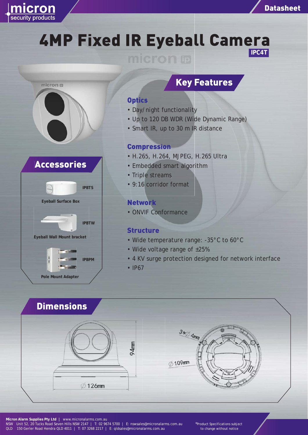



# 4MP Fixed IR Eyeball Camera **IPC4T**





# Key Features

### **Optics**

- Day/night functionality
- Up to 120 DB WDR (Wide Dynamic Range)
- Smart IR, up to 30 m IR distance

#### Compression

- H.265, H.264, MJPEG, H.265 Ultra
- Embedded smart algorithm algor
- Triple streams
- 9:16 corridor format

## Network

• ONVIF Conformance

### **Structure**

- Wide temperature range: -35°C to 60°C
- Wide voltage range of ±25%
- 4 KV surge protection designed for network interface
- IP67

## **Dimensions**





**Micron Alarm Supplies Pty Ltd |** www.micronalarms.com.au NSW Unit 52, 20 Tucks Road Seven Hills NSW 2147 | T: 02 9674 5700 | E: nswsales@micronalarms.com.au QLD 150 Gerler Road Hendra QLD 4011 | T: 07 3268 2217 | E: qldsales@micronalarms.com.au

\*Product Specifications subject to change without notice